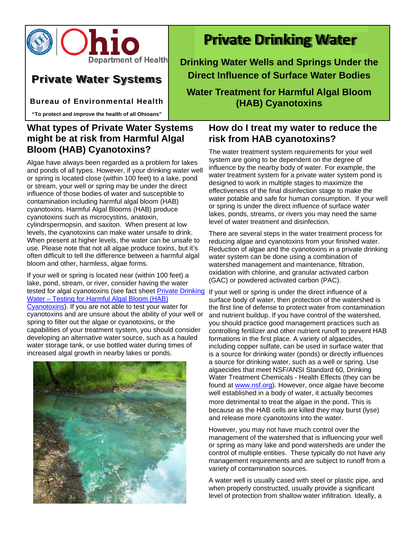

# **Private Water Systems**

**Bureau of Environmental Health** 

**"To protect and improve the health of all Ohioans"**

# **What types of Private Water Systems might be at risk from Harmful Algal Bloom (HAB) Cyanotoxins?**

Algae have always been regarded as a problem for lakes and ponds of all types. However, if your drinking water well or spring is located close (within 100 feet) to a lake, pond or stream, your well or spring may be under the direct influence of those bodies of water and susceptible to contamination including harmful algal bloom (HAB) cyanotoxins. Harmful Algal Blooms (HAB) produce cyanotoxins such as microcystins, anatoxin, cylindrspermopsin, and saxiton. When present at low levels, the cyanotoxins can make water unsafe to drink. When present at higher levels, the water can be unsafe to use. Please note that not all algae produce toxins, but it's often difficult to tell the difference between a harmful algal bloom and other, harmless, algae forms.

If your well or spring is located near (within 100 feet) a lake, pond, stream, or river, consider having the water tested for algal cyanotoxins (see fact sheet <u>Private Drinking</u> If your well or spring is under the direct influence of a Water – Testing for Harmful Algal Bloom (HAB)

Cyanotoxins). If you are not able to test your water for cyanotoxins and are unsure about the ability of your well or spring to filter out the algae or cyanotoxins, or the capabilities of your treatment system, you should consider developing an alternative water source, such as a hauled water storage tank, or use bottled water during times of increased algal growth in nearby lakes or ponds.



# **Private Drinking Water**

**Drinking Water Wells and Springs Under the Direct Influence of Surface Water Bodies**

**Water Treatment for Harmful Algal Bloom (HAB) Cyanotoxins** 

## **How do I treat my water to reduce the risk from HAB cyanotoxins?**

The water treatment system requirements for your well system are going to be dependent on the degree of influence by the nearby body of water. For example, the water treatment system for a private water system pond is designed to work in multiple stages to maximize the effectiveness of the final disinfection stage to make the water potable and safe for human consumption. If your well or spring is under the direct influence of surface water lakes, ponds, streams, or rivers you may need the same level of water treatment and disinfection.

There are several steps in the water treatment process for reducing algae and cyanotoxins from your finished water. Reduction of algae and the cyanotoxins in a private drinking water system can be done using a combination of watershed management and maintenance, filtration, oxidation with chlorine, and granular activated carbon (GAC) or powdered activated carbon (PAC).

surface body of water, then protection of the watershed is the first line of defense to protect water from contamination and nutrient buildup. If you have control of the watershed, you should practice good management practices such as controlling fertilizer and other nutrient runoff to prevent HAB formations in the first place. A variety of algaecides, including copper sulfate, can be used in surface water that is a source for drinking water (ponds) or directly influences a source for drinking water, such as a well or spring. Use algaecides that meet NSF/ANSI Standard 60, Drinking Water Treatment Chemicals - Health Effects (they can be found at www.nsf.org). However, once algae have become well established in a body of water, it actually becomes more detrimental to treat the algae in the pond. This is because as the HAB cells are killed they may burst (lyse) and release more cyanotoxins into the water.

However, you may not have much control over the management of the watershed that is influencing your well or spring as many lake and pond watersheds are under the control of multiple entities. These typically do not have any management requirements and are subject to runoff from a variety of contamination sources.

A water well is usually cased with steel or plastic pipe, and when properly constructed, usually provide a significant level of protection from shallow water infiltration. Ideally, a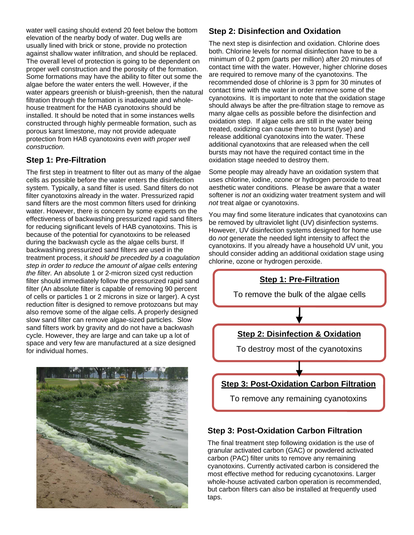water well casing should extend 20 feet below the bottom elevation of the nearby body of water. Dug wells are usually lined with brick or stone, provide no protection against shallow water infiltration, and should be replaced. The overall level of protection is going to be dependent on proper well construction and the porosity of the formation. Some formations may have the ability to filter out some the algae before the water enters the well. However, if the water appears greenish or bluish-greenish, then the natural filtration through the formation is inadequate and wholehouse treatment for the HAB cyanotoxins should be installed. It should be noted that in some instances wells constructed through highly permeable formation, such as porous karst limestone, may not provide adequate protection from HAB cyanotoxins *even with proper well construction*.

#### **Step 1: Pre-Filtration**

The first step in treatment to filter out as many of the algae cells as possible before the water enters the disinfection system. Typically, a sand filter is used. Sand filters do not filter cyanotoxins already in the water. Pressurized rapid sand filters are the most common filters used for drinking water. However, there is concern by some experts on the effectiveness of backwashing pressurized rapid sand filters for reducing significant levels of HAB cyanotoxins. This is because of the potential for cyanotoxins to be released during the backwash cycle as the algae cells burst. If backwashing pressurized sand filters are used in the treatment process, it *should be preceded by a coagulation step in order to reduce the amount of algae cells entering the filter.* An absolute 1 or 2-micron sized cyst reduction filter should immediately follow the pressurized rapid sand filter (An absolute filter is capable of removing 90 percent of cells or particles 1 or 2 microns in size or larger). A cyst reduction filter is designed to remove protozoans but may also remove some of the algae cells. A properly designed slow sand filter can remove algae-sized particles. Slow sand filters work by gravity and do not have a backwash cycle. However, they are large and can take up a lot of space and very few are manufactured at a size designed for individual homes.



#### **Step 2: Disinfection and Oxidation**

The next step is disinfection and oxidation. Chlorine does both. Chlorine levels for normal disinfection have to be a minimum of 0.2 ppm (parts per million) after 20 minutes of contact time with the water. However, higher chlorine doses are required to remove many of the cyanotoxins. The recommended dose of chlorine is 3 ppm for 30 minutes of contact time with the water in order remove some of the cyanotoxins. It is important to note that the oxidation stage should always be after the pre-filtration stage to remove as many algae cells as possible before the disinfection and oxidation step. If algae cells are still in the water being treated, oxidizing can cause them to burst (lyse) and release additional cyanotoxins into the water. These additional cyanotoxins that are released when the cell bursts may not have the required contact time in the oxidation stage needed to destroy them.

Some people may already have an oxidation system that uses chlorine, iodine, ozone or hydrogen peroxide to treat aesthetic water conditions. Please be aware that a water softener is *not* an oxidizing water treatment system and will *not* treat algae or cyanotoxins.

You may find some literature indicates that cyanotoxins can be removed by ultraviolet light (UV) disinfection systems. However, UV disinfection systems designed for home use do *not* generate the needed light intensity to affect the cyanotoxins. If you already have a household UV unit, you should consider adding an additional oxidation stage using chlorine, ozone or hydrogen peroxide.



#### **Step 3: Post-Oxidation Carbon Filtration**

The final treatment step following oxidation is the use of granular activated carbon (GAC) or powdered activated carbon (PAC) filter units to remove any remaining cyanotoxins. Currently activated carbon is considered the most effective method for reducing cycanotoxins. Larger whole-house activated carbon operation is recommended, but carbon filters can also be installed at frequently used taps.